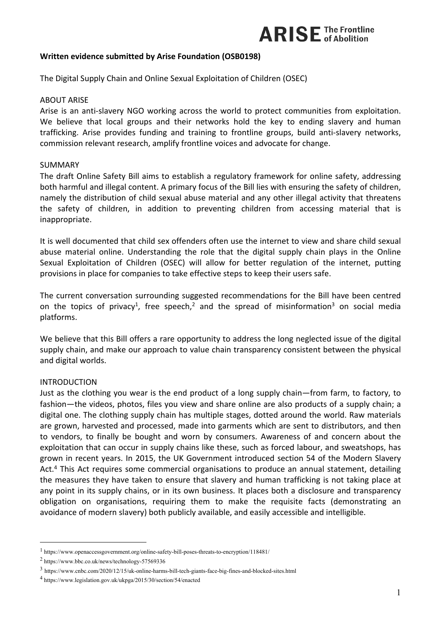## **Written evidence submitted by Arise Foundation (OSB0198)**

The Digital Supply Chain and Online Sexual Exploitation of Children (OSEC)

#### ABOUT ARISE

Arise is an anti-slavery NGO working across the world to protect communities from exploitation. We believe that local groups and their networks hold the key to ending slavery and human trafficking. Arise provides funding and training to frontline groups, build anti-slavery networks, commission relevant research, amplify frontline voices and advocate for change.

#### SUMMARY

The draft Online Safety Bill aims to establish a regulatory framework for online safety, addressing both harmful and illegal content. A primary focus of the Bill lies with ensuring the safety of children, namely the distribution of child sexual abuse material and any other illegal activity that threatens the safety of children, in addition to preventing children from accessing material that is inappropriate.

It is well documented that child sex offenders often use the internet to view and share child sexual abuse material online. Understanding the role that the digital supply chain plays in the Online Sexual Exploitation of Children (OSEC) will allow for better regulation of the internet, putting provisions in place for companies to take effective steps to keep their users safe.

The current conversation surrounding suggested recommendations for the Bill have been centred on the topics of privacy<sup>1</sup>, free speech,<sup>2</sup> and the spread of misinformation<sup>3</sup> on social media platforms.

We believe that this Bill offers a rare opportunity to address the long neglected issue of the digital supply chain, and make our approach to value chain transparency consistent between the physical and digital worlds.

### INTRODUCTION

Just as the clothing you wear is the end product of a long supply chain—from farm, to factory, to fashion—the videos, photos, files you view and share online are also products of a supply chain; a digital one. The clothing supply chain has multiple stages, dotted around the world. Raw materials are grown, harvested and processed, made into garments which are sent to distributors, and then to vendors, to finally be bought and worn by consumers. Awareness of and concern about the exploitation that can occur in supply chains like these, such as forced labour, and sweatshops, has grown in recent years. In 2015, the UK Government introduced section 54 of the Modern Slavery Act.<sup>4</sup> This Act requires some commercial organisations to produce an annual statement, detailing the measures they have taken to ensure that slavery and human trafficking is not taking place at any point in its supply chains, or in its own business. It places both a disclosure and transparency obligation on organisations, requiring them to make the requisite facts (demonstrating an avoidance of modern slavery) both publicly available, and easily accessible and intelligible.

<sup>1</sup> https://www.openaccessgovernment.org/online-safety-bill-poses-threats-to-encryption/118481/

<sup>2</sup> https://www.bbc.co.uk/news/technology-57569336

<sup>3</sup> https://www.cnbc.com/2020/12/15/uk-online-harms-bill-tech-giants-face-big-fines-and-blocked-sites.html

<sup>4</sup> https://www.legislation.gov.uk/ukpga/2015/30/section/54/enacted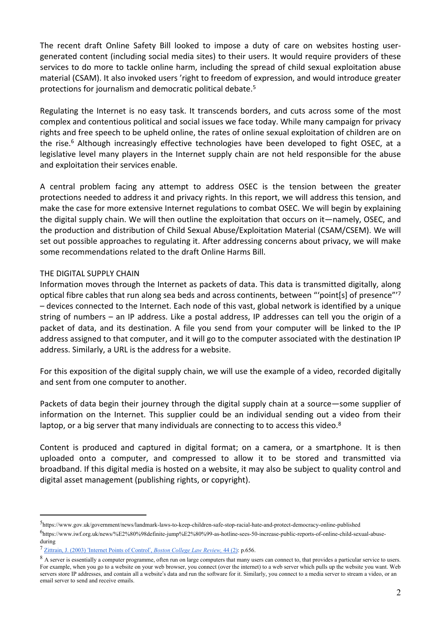The recent draft Online Safety Bill looked to impose a duty of care on websites hosting usergenerated content (including social media sites) to their users. It would require providers of these services to do more to tackle online harm, including the spread of child sexual exploitation abuse material (CSAM). It also invoked users 'right to freedom of expression, and would introduce greater protections for journalism and democratic political debate.<sup>5</sup>

Regulating the Internet is no easy task. It transcends borders, and cuts across some of the most complex and contentious political and social issues we face today. While many campaign for privacy rights and free speech to be upheld online, the rates of online sexual exploitation of children are on the rise.<sup>6</sup> Although increasingly effective technologies have been developed to fight OSEC, at a legislative level many players in the Internet supply chain are not held responsible for the abuse and exploitation their services enable.

A central problem facing any attempt to address OSEC is the tension between the greater protections needed to address it and privacy rights. In this report, we will address this tension, and make the case for more extensive Internet regulations to combat OSEC. We will begin by explaining the digital supply chain. We will then outline the exploitation that occurs on it—namely, OSEC, and the production and distribution of Child Sexual Abuse/Exploitation Material (CSAM/CSEM). We will set out possible approaches to regulating it. After addressing concerns about privacy, we will make some recommendations related to the draft Online Harms Bill.

## THE DIGITAL SUPPLY CHAIN

Information moves through the Internet as packets of data. This data is transmitted digitally, along optical fibre cables that run along sea beds and across continents, between "'point[s] of presence"'<sup>7</sup> – devices connected to the Internet. Each node of this vast, global network is identified by a unique string of numbers – an IP address. Like a postal address, IP addresses can tell you the origin of a packet of data, and its destination. A file you send from your computer will be linked to the IP address assigned to that computer, and it will go to the computer associated with the destination IP address. Similarly, a URL is the address for a website.

For this exposition of the digital supply chain, we will use the example of a video, recorded digitally and sent from one computer to another.

Packets of data begin their journey through the digital supply chain at a source—some supplier of information on the Internet. This supplier could be an individual sending out a video from their laptop, or a big server that many individuals are connecting to to access this video.<sup>8</sup>

Content is produced and captured in digital format; on a camera, or a smartphone. It is then uploaded onto a computer, and compressed to allow it to be stored and transmitted via broadband. If this digital media is hosted on a website, it may also be subject to quality control and digital asset management (publishing rights, or copyright).

<sup>5</sup> https://www.gov.uk/government/news/landmark-laws-to-keep-children-safe-stop-racial-hate-and-protect-democracy-online-published

<sup>6</sup> https://www.iwf.org.uk/news/%E2%80%98definite-jump%E2%80%99-as-hotline-sees-50-increase-public-reports-of-online-child-sexual-abuseduring

<sup>7</sup> [Zittrain,](https://lawdigitalcommons.bc.edu/cgi/viewcontent.cgi?article=2234&context=bclr) [J.](https://lawdigitalcommons.bc.edu/cgi/viewcontent.cgi?article=2234&context=bclr) [\(2003\)](https://lawdigitalcommons.bc.edu/cgi/viewcontent.cgi?article=2234&context=bclr) ['](https://lawdigitalcommons.bc.edu/cgi/viewcontent.cgi?article=2234&context=bclr)[Internet](https://lawdigitalcommons.bc.edu/cgi/viewcontent.cgi?article=2234&context=bclr) [Points](https://lawdigitalcommons.bc.edu/cgi/viewcontent.cgi?article=2234&context=bclr) [of](https://lawdigitalcommons.bc.edu/cgi/viewcontent.cgi?article=2234&context=bclr) [Control](https://lawdigitalcommons.bc.edu/cgi/viewcontent.cgi?article=2234&context=bclr)['](https://lawdigitalcommons.bc.edu/cgi/viewcontent.cgi?article=2234&context=bclr)[,](https://lawdigitalcommons.bc.edu/cgi/viewcontent.cgi?article=2234&context=bclr) *[Boston](https://lawdigitalcommons.bc.edu/cgi/viewcontent.cgi?article=2234&context=bclr) [College](https://lawdigitalcommons.bc.edu/cgi/viewcontent.cgi?article=2234&context=bclr) [Law](https://lawdigitalcommons.bc.edu/cgi/viewcontent.cgi?article=2234&context=bclr) [Review,](https://lawdigitalcommons.bc.edu/cgi/viewcontent.cgi?article=2234&context=bclr)* [44](https://lawdigitalcommons.bc.edu/cgi/viewcontent.cgi?article=2234&context=bclr) [\(2\):](https://lawdigitalcommons.bc.edu/cgi/viewcontent.cgi?article=2234&context=bclr) p.656.

<sup>&</sup>lt;sup>8</sup> A server is essentially a computer programme, often run on large computers that many users can connect to, that provides a particular service to users. For example, when you go to a website on your web browser, you connect (over the internet) to a web server which pulls up the website you want. Web servers store IP addresses, and contain all a website's data and run the software for it. Similarly, you connect to a media server to stream a video, or an email server to send and receive emails.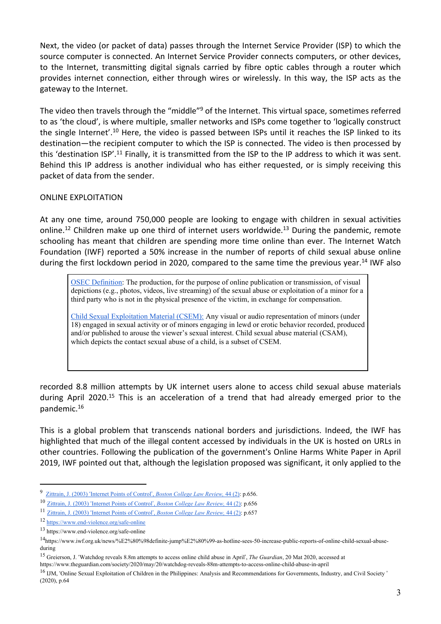Next, the video (or packet of data) passes through the Internet Service Provider (ISP) to which the source computer is connected. An Internet Service Provider connects computers, or other devices, to the Internet, transmitting digital signals carried by fibre optic cables through a router which provides internet connection, either through wires or wirelessly. In this way, the ISP acts as the gateway to the Internet.

The video then travels through the "middle"<sup>9</sup> of the Internet. This virtual space, sometimes referred to as 'the cloud', is where multiple, smaller networks and ISPs come together to 'logically construct the single Internet'.<sup>10</sup> Here, the video is passed between ISPs until it reaches the ISP linked to its destination—the recipient computer to which the ISP is connected. The video is then processed by this 'destination ISP'.<sup>11</sup> Finally, it is transmitted from the ISP to the IP address to which it was sent. Behind this IP address is another individual who has either requested, or is simply receiving this packet of data from the sender.

# ONLINE EXPLOITATION

At any one time, around 750,000 people are looking to engage with children in sexual activities online.<sup>12</sup> Children make up one third of internet users worldwide.<sup>13</sup> During the pandemic, remote schooling has meant that children are spending more time online than ever. The Internet Watch Foundation (IWF) reported a 50% increase in the number of reports of child sexual abuse online during the first lockdown period in 2020, compared to the same time the previous year.<sup>14</sup> IWF also

[OSEC](https://www.ijm.org/documents/Final-Public-Full-Report-5_20_2020.pdf) [Definition:](https://www.ijm.org/documents/Final-Public-Full-Report-5_20_2020.pdf) The production, for the purpose of online publication or transmission, of visual depictions (e.g., photos, videos, live streaming) of the sexual abuse or exploitation of a minor for a third party who is not in the physical presence of the victim, in exchange for compensation.

[Child](https://www.ijm.org/documents/Final-Public-Full-Report-5_20_2020.pdf) [Sexual](https://www.ijm.org/documents/Final-Public-Full-Report-5_20_2020.pdf) [Exploitation](https://www.ijm.org/documents/Final-Public-Full-Report-5_20_2020.pdf) [Material](https://www.ijm.org/documents/Final-Public-Full-Report-5_20_2020.pdf) [\(CSEM\):](https://www.ijm.org/documents/Final-Public-Full-Report-5_20_2020.pdf) Any visual or audio representation of minors (under 18) engaged in sexual activity or of minors engaging in lewd or erotic behavior recorded, produced and/or published to arouse the viewer's sexual interest. Child sexual abuse material (CSAM), which depicts the contact sexual abuse of a child, is a subset of CSEM.

recorded 8.8 million attempts by UK internet users alone to access child sexual abuse materials during April 2020.<sup>15</sup> This is an acceleration of a trend that had already emerged prior to the pandemic.<sup>16</sup>

This is a global problem that transcends national borders and jurisdictions. Indeed, the IWF has highlighted that much of the illegal content accessed by individuals in the UK is hosted on URLs in other countries. Following the publication of the government's Online Harms White Paper in April 2019, IWF pointed out that, although the legislation proposed was significant, it only applied to the

<sup>9</sup> [Zittrain,](https://lawdigitalcommons.bc.edu/cgi/viewcontent.cgi?article=2234&context=bclr) [J.](https://lawdigitalcommons.bc.edu/cgi/viewcontent.cgi?article=2234&context=bclr) [\(2003\)](https://lawdigitalcommons.bc.edu/cgi/viewcontent.cgi?article=2234&context=bclr) ['](https://lawdigitalcommons.bc.edu/cgi/viewcontent.cgi?article=2234&context=bclr)[Internet](https://lawdigitalcommons.bc.edu/cgi/viewcontent.cgi?article=2234&context=bclr) [Points](https://lawdigitalcommons.bc.edu/cgi/viewcontent.cgi?article=2234&context=bclr) [of](https://lawdigitalcommons.bc.edu/cgi/viewcontent.cgi?article=2234&context=bclr) [Control](https://lawdigitalcommons.bc.edu/cgi/viewcontent.cgi?article=2234&context=bclr)['](https://lawdigitalcommons.bc.edu/cgi/viewcontent.cgi?article=2234&context=bclr)[,](https://lawdigitalcommons.bc.edu/cgi/viewcontent.cgi?article=2234&context=bclr) *[Boston](https://lawdigitalcommons.bc.edu/cgi/viewcontent.cgi?article=2234&context=bclr) [College](https://lawdigitalcommons.bc.edu/cgi/viewcontent.cgi?article=2234&context=bclr) [Law](https://lawdigitalcommons.bc.edu/cgi/viewcontent.cgi?article=2234&context=bclr) [Review,](https://lawdigitalcommons.bc.edu/cgi/viewcontent.cgi?article=2234&context=bclr)* [44](https://lawdigitalcommons.bc.edu/cgi/viewcontent.cgi?article=2234&context=bclr) [\(2\)](https://lawdigitalcommons.bc.edu/cgi/viewcontent.cgi?article=2234&context=bclr): p.656.

<sup>10</sup> [Zittrain,](https://lawdigitalcommons.bc.edu/cgi/viewcontent.cgi?article=2234&context=bclr) [J.](https://lawdigitalcommons.bc.edu/cgi/viewcontent.cgi?article=2234&context=bclr) [\(2003\)](https://lawdigitalcommons.bc.edu/cgi/viewcontent.cgi?article=2234&context=bclr) ['](https://lawdigitalcommons.bc.edu/cgi/viewcontent.cgi?article=2234&context=bclr)[Internet](https://lawdigitalcommons.bc.edu/cgi/viewcontent.cgi?article=2234&context=bclr) [Points](https://lawdigitalcommons.bc.edu/cgi/viewcontent.cgi?article=2234&context=bclr) [of](https://lawdigitalcommons.bc.edu/cgi/viewcontent.cgi?article=2234&context=bclr) [Control](https://lawdigitalcommons.bc.edu/cgi/viewcontent.cgi?article=2234&context=bclr)['](https://lawdigitalcommons.bc.edu/cgi/viewcontent.cgi?article=2234&context=bclr)[,](https://lawdigitalcommons.bc.edu/cgi/viewcontent.cgi?article=2234&context=bclr) *[Boston](https://lawdigitalcommons.bc.edu/cgi/viewcontent.cgi?article=2234&context=bclr) [College](https://lawdigitalcommons.bc.edu/cgi/viewcontent.cgi?article=2234&context=bclr) [Law](https://lawdigitalcommons.bc.edu/cgi/viewcontent.cgi?article=2234&context=bclr) [Review,](https://lawdigitalcommons.bc.edu/cgi/viewcontent.cgi?article=2234&context=bclr)* [44](https://lawdigitalcommons.bc.edu/cgi/viewcontent.cgi?article=2234&context=bclr) [\(2\):](https://lawdigitalcommons.bc.edu/cgi/viewcontent.cgi?article=2234&context=bclr) p.656

<sup>11</sup> [Zittrain,](https://lawdigitalcommons.bc.edu/cgi/viewcontent.cgi?article=2234&context=bclr) [J.](https://lawdigitalcommons.bc.edu/cgi/viewcontent.cgi?article=2234&context=bclr) [\(2003\)](https://lawdigitalcommons.bc.edu/cgi/viewcontent.cgi?article=2234&context=bclr) ['](https://lawdigitalcommons.bc.edu/cgi/viewcontent.cgi?article=2234&context=bclr)[Internet](https://lawdigitalcommons.bc.edu/cgi/viewcontent.cgi?article=2234&context=bclr) [Points](https://lawdigitalcommons.bc.edu/cgi/viewcontent.cgi?article=2234&context=bclr) [of](https://lawdigitalcommons.bc.edu/cgi/viewcontent.cgi?article=2234&context=bclr) [Control](https://lawdigitalcommons.bc.edu/cgi/viewcontent.cgi?article=2234&context=bclr)['](https://lawdigitalcommons.bc.edu/cgi/viewcontent.cgi?article=2234&context=bclr)[,](https://lawdigitalcommons.bc.edu/cgi/viewcontent.cgi?article=2234&context=bclr) *[Boston](https://lawdigitalcommons.bc.edu/cgi/viewcontent.cgi?article=2234&context=bclr) [College](https://lawdigitalcommons.bc.edu/cgi/viewcontent.cgi?article=2234&context=bclr) [Law](https://lawdigitalcommons.bc.edu/cgi/viewcontent.cgi?article=2234&context=bclr) [Review,](https://lawdigitalcommons.bc.edu/cgi/viewcontent.cgi?article=2234&context=bclr)* [44](https://lawdigitalcommons.bc.edu/cgi/viewcontent.cgi?article=2234&context=bclr) [\(2\):](https://lawdigitalcommons.bc.edu/cgi/viewcontent.cgi?article=2234&context=bclr) p.657

<sup>12</sup> <https://www.end-violence.org/safe-online>

<sup>13</sup> https://www.end-violence.org/safe-online

<sup>14</sup>https://www.iwf.org.uk/news/%E2%80%98definite-jump%E2%80%99-as-hotline-sees-50-increase-public-reports-of-online-child-sexual-abuseduring

<sup>15</sup> Greierson, J. 'Watchdog reveals 8.8m attempts to access online child abuse in April', *The Guardian*, 20 Mat 2020, accessed at

https://www.theguardian.com/society/2020/may/20/watchdog-reveals-88m-attempts-to-access-online-child-abuse-in-april

<sup>&</sup>lt;sup>16</sup> IJM, 'Online Sexual Exploitation of Children in the Philippines: Analysis and Recommendations for Governments, Industry, and Civil Society ' (2020), p.64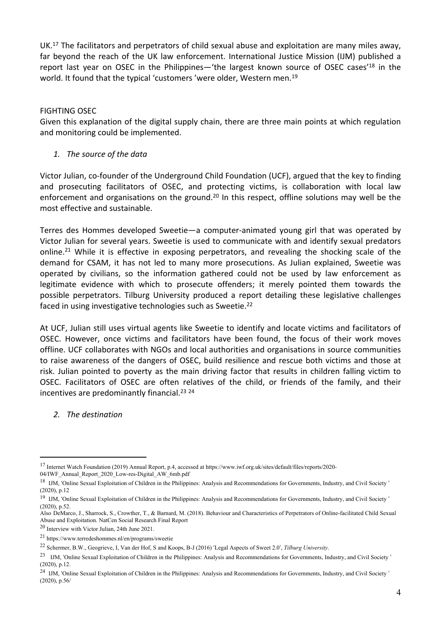UK.<sup>17</sup> The facilitators and perpetrators of child sexual abuse and exploitation are many miles away, far beyond the reach of the UK law enforcement. International Justice Mission (IJM) published a report last year on OSEC in the Philippines—'the largest known source of OSEC cases'<sup>18</sup> in the world. It found that the typical 'customers' were older, Western men.<sup>19</sup>

## FIGHTING OSEC

Given this explanation of the digital supply chain, there are three main points at which regulation and monitoring could be implemented.

*1. The source of the data*

Victor Julian, co-founder of the Underground Child Foundation (UCF), argued that the key to finding and prosecuting facilitators of OSEC, and protecting victims, is collaboration with local law enforcement and organisations on the ground.<sup>20</sup> In this respect, offline solutions may well be the most effective and sustainable.

Terres des Hommes developed Sweetie—a computer-animated young girl that was operated by Victor Julian for several years. Sweetie is used to communicate with and identify sexual predators online.<sup>21</sup> While it is effective in exposing perpetrators, and revealing the shocking scale of the demand for CSAM, it has not led to many more prosecutions. As Julian explained, Sweetie was operated by civilians, so the information gathered could not be used by law enforcement as legitimate evidence with which to prosecute offenders; it merely pointed them towards the possible perpetrators. Tilburg University produced a report detailing these legislative challenges faced in using investigative technologies such as Sweetie.<sup>22</sup>

At UCF, Julian still uses virtual agents like Sweetie to identify and locate victims and facilitators of OSEC. However, once victims and facilitators have been found, the focus of their work moves offline. UCF collaborates with NGOs and local authorities and organisations in source communities to raise awareness of the dangers of OSEC, build resilience and rescue both victims and those at risk. Julian pointed to poverty as the main driving factor that results in children falling victim to OSEC. Facilitators of OSEC are often relatives of the child, or friends of the family, and their incentives are predominantly financial.<sup>23</sup> <sup>24</sup>

*2. The destination*

<sup>20</sup> Interview with Victor Julian, 24th June 2021.

<sup>17</sup> Internet Watch Foundation (2019) Annual Report, p.4, accessed at https://www.iwf.org.uk/sites/default/files/reports/2020- 04/IWF\_Annual\_Report\_2020\_Low-res-Digital\_AW\_6mb.pdf

<sup>&</sup>lt;sup>18</sup> IJM, 'Online Sexual Exploitation of Children in the Philippines: Analysis and Recommendations for Governments, Industry, and Civil Society ' (2020), p.12

<sup>&</sup>lt;sup>19</sup> IJM, 'Online Sexual Exploitation of Children in the Philippines: Analysis and Recommendations for Governments, Industry, and Civil Society ' (2020), p.52.

Also DeMarco, J., Sharrock, S., Crowther, T., & Barnard, M. (2018). Behaviour and Characteristics of Perpetrators of Online-facilitated Child Sexual Abuse and Exploitation. NatCen Social Research Final Report

<sup>21</sup> https://www.terredeshommes.nl/en/programs/sweetie

<sup>22</sup> Schermer, B.W., Geogrieve, I, Van der Hof, S and Koops, B-J (2016) 'Legal Aspects of Sweet 2.0', *Tilburg University*.

<sup>&</sup>lt;sup>23</sup> IJM, 'Online Sexual Exploitation of Children in the Philippines: Analysis and Recommendations for Governments, Industry, and Civil Society ' (2020), p.12.

<sup>24</sup> IJM, 'Online Sexual Exploitation of Children in the Philippines: Analysis and Recommendations for Governments, Industry, and Civil Society ' (2020), p.56/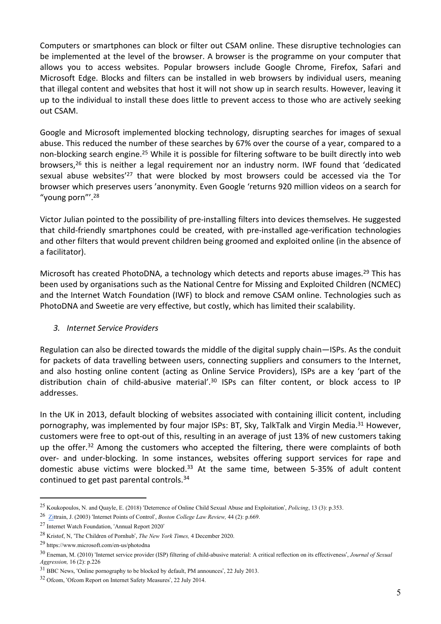Computers or smartphones can block or filter out CSAM online. These disruptive technologies can be implemented at the level of the browser. A browser is the programme on your computer that allows you to access websites. Popular browsers include Google Chrome, Firefox, Safari and Microsoft Edge. Blocks and filters can be installed in web browsers by individual users, meaning that illegal content and websites that host it will not show up in search results. However, leaving it up to the individual to install these does little to prevent access to those who are actively seeking out CSAM.

Google and Microsoft implemented blocking technology, disrupting searches for images of sexual abuse. This reduced the number of these searches by 67% over the course of a year, compared to a non-blocking search engine.<sup>25</sup> While it is possible for filtering software to be built directly into web browsers,<sup>26</sup> this is neither a legal requirement nor an industry norm. IWF found that 'dedicated sexual abuse websites'<sup>27</sup> that were blocked by most browsers could be accessed via the Tor browser which preserves users 'anonymity. Even Google 'returns 920 million videos on a search for "young porn"'.<sup>28</sup>

Victor Julian pointed to the possibility of pre-installing filters into devices themselves. He suggested that child-friendly smartphones could be created, with pre-installed age-verification technologies and other filters that would prevent children being groomed and exploited online (in the absence of a facilitator).

Microsoft has created PhotoDNA, a technology which detects and reports abuse images.<sup>29</sup> This has been used by organisations such as the National Centre for Missing and Exploited Children (NCMEC) and the Internet Watch Foundation (IWF) to block and remove CSAM online. Technologies such as PhotoDNA and Sweetie are very effective, but costly, which has limited their scalability.

# *3. Internet Service Providers*

Regulation can also be directed towards the middle of the digital supply chain—ISPs. As the conduit for packets of data travelling between users, connecting suppliers and consumers to the Internet, and also hosting online content (acting as Online Service Providers), ISPs are a key 'part of the distribution chain of child-abusive material'.<sup>30</sup> ISPs can filter content, or block access to IP addresses.

In the UK in 2013, default blocking of websites associated with containing illicit content, including pornography, was implemented by four major ISPs: BT, Sky, TalkTalk and Virgin Media.<sup>31</sup> However, customers were free to opt-out of this, resulting in an average of just 13% of new customers taking up the offer.<sup>32</sup> Among the customers who accepted the filtering, there were complaints of both over- and under-blocking. In some instances, websites offering support services for rape and domestic abuse victims were blocked. $33$  At the same time, between 5-35% of adult content continued to get past parental controls.<sup>34</sup>

<sup>25</sup> Koukopoulos, N. and Quayle, E. (2018) 'Deterrence of Online Child Sexual Abuse and Exploitation', *Policing*, 13 (3): p.353.

<sup>26</sup> [Zit](https://lawdigitalcommons.bc.edu/cgi/viewcontent.cgi?article=2234&context=bclr)train, J. (2003) 'Internet Points of Control', *Boston College Law Review,* 44 (2): p.669.

<sup>27</sup> Internet Watch Foundation, 'Annual Report 2020'

<sup>28</sup> Kristof, N, 'The Children of Pornhub', *The New York Times,* 4 December 2020.

<sup>29</sup> https://www.microsoft.com/en-us/photodna

<sup>30</sup> Eneman, M. (2010) 'Internet service provider (ISP) filtering of child-abusive material: A critical reflection on its effectiveness', *Journal of Sexual Aggression,* 16 (2): p.226

<sup>&</sup>lt;sup>31</sup> BBC News, 'Online pornography to be blocked by default, PM announces', 22 July 2013.

<sup>32</sup> Ofcom, 'Ofcom Report on Internet Safety Measures', 22 July 2014.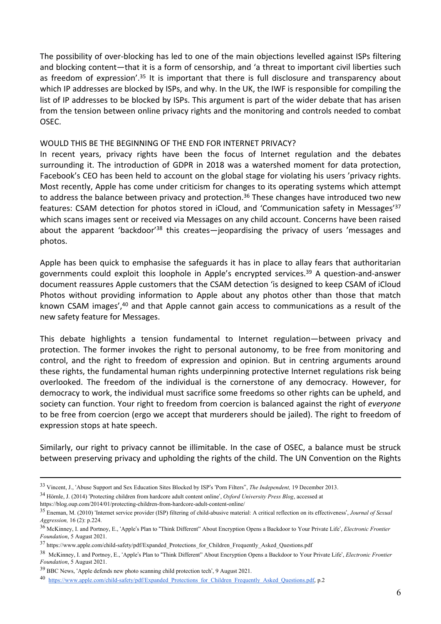The possibility of over-blocking has led to one of the main objections levelled against ISPs filtering and blocking content—that it is a form of censorship, and 'a threat to important civil liberties such as freedom of expression'.<sup>35</sup> It is important that there is full disclosure and transparency about which IP addresses are blocked by ISPs, and why. In the UK, the IWF is responsible for compiling the list of IP addresses to be blocked by ISPs. This argument is part of the wider debate that has arisen from the tension between online privacy rights and the monitoring and controls needed to combat OSEC.

### WOULD THIS BE THE BEGINNING OF THE END FOR INTERNET PRIVACY?

In recent years, privacy rights have been the focus of Internet regulation and the debates surrounding it. The introduction of GDPR in 2018 was a watershed moment for data protection, Facebook's CEO has been held to account on the global stage for violating his users 'privacy rights. Most recently, Apple has come under criticism for changes to its operating systems which attempt to address the balance between privacy and protection.<sup>36</sup> These changes have introduced two new features: CSAM detection for photos stored in iCloud, and 'Communication safety in Messages'<sup>37</sup> which scans images sent or received via Messages on any child account. Concerns have been raised about the apparent 'backdoor'<sup>38</sup> this creates—jeopardising the privacy of users 'messages and photos.

Apple has been quick to emphasise the safeguards it has in place to allay fears that authoritarian governments could exploit this loophole in Apple's encrypted services.<sup>39</sup> A question-and-answer document reassures Apple customers that the CSAM detection 'is designed to keep CSAM of iCloud Photos without providing information to Apple about any photos other than those that match known CSAM images',<sup>40</sup> and that Apple cannot gain access to communications as a result of the new safety feature for Messages.

This debate highlights a tension fundamental to Internet regulation—between privacy and protection. The former invokes the right to personal autonomy, to be free from monitoring and control, and the right to freedom of expression and opinion. But in centring arguments around these rights, the fundamental human rights underpinning protective Internet regulations risk being overlooked. The freedom of the individual is the cornerstone of any democracy. However, for democracy to work, the individual must sacrifice some freedoms so other rights can be upheld, and society can function. Your right to freedom from coercion is balanced against the right of *everyone* to be free from coercion (ergo we accept that murderers should be jailed). The right to freedom of expression stops at hate speech.

Similarly, our right to privacy cannot be illimitable. In the case of OSEC, a balance must be struck between preserving privacy and upholding the rights of the child. The UN Convention on the Rights

https://blog.oup.com/2014/01/protecting-children-from-hardcore-adult-content-online/

<sup>33</sup> Vincent, J., 'Abuse Support and Sex Education Sites Blocked by ISP's 'Porn Filters'', *The Independent,* 19 December 2013.

<sup>34</sup> Hörnle, J. (2014) 'Protecting children from hardcore adult content online', *Oxford University Press Blog*, accessed at

<sup>35</sup> Eneman, M. (2010) 'Internet service provider (ISP) filtering of child-abusive material: A critical reflection on its effectiveness', *Journal of Sexual Aggression,* 16 (2): p.224.

<sup>36</sup> McKinney, I. and Portnoy, E., 'Apple's Plan to "Think Different" About Encryption Opens a Backdoor to Your Private Life', *Electronic Frontier Foundation*, 5 August 2021.

<sup>37</sup> https://www.apple.com/child-safety/pdf/Expanded\_Protections\_for\_Children\_Frequently\_Asked\_Questions.pdf

<sup>38</sup> McKinney, I. and Portnoy, E., 'Apple's Plan to "Think Different" About Encryption Opens a Backdoor to Your Private Life', *Electronic Frontier Foundation*, 5 August 2021.

<sup>39</sup> BBC News, 'Apple defends new photo scanning child protection tech', 9 August 2021.

<sup>40</sup> [https://www.apple.com/child-safety/pdf/Expanded\\_Protections\\_for\\_Children\\_Frequently\\_Asked\\_Questions.pdf](https://www.apple.com/child-safety/pdf/Expanded_Protections_for_Children_Frequently_Asked_Questions.pdf), p.2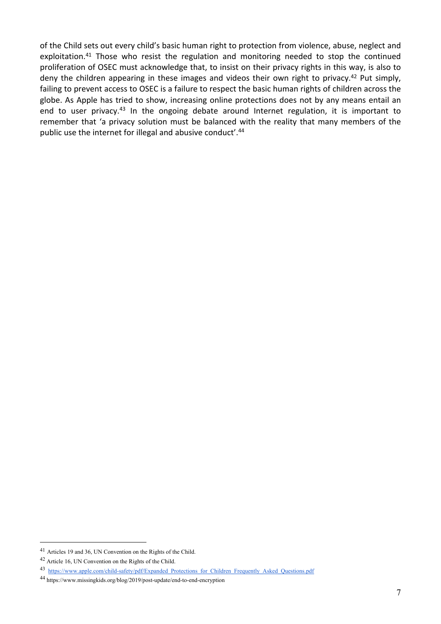of the Child sets out every child's basic human right to protection from violence, abuse, neglect and exploitation.<sup>41</sup> Those who resist the regulation and monitoring needed to stop the continued proliferation of OSEC must acknowledge that, to insist on their privacy rights in this way, is also to deny the children appearing in these images and videos their own right to privacy.<sup>42</sup> Put simply, failing to prevent access to OSEC is a failure to respect the basic human rights of children across the globe. As Apple has tried to show, increasing online protections does not by any means entail an end to user privacy.<sup>43</sup> In the ongoing debate around Internet regulation, it is important to remember that 'a privacy solution must be balanced with the reality that many members of the public use the internet for illegal and abusive conduct'. 44

<sup>41</sup> Articles 19 and 36, UN Convention on the Rights of the Child.

<sup>42</sup> Article 16, UN Convention on the Rights of the Child.

<sup>43</sup> https://www.apple.com/child-safety/pdf/Expanded Protections for Children Frequently Asked Questions.pdf

<sup>44</sup> https://www.missingkids.org/blog/2019/post-update/end-to-end-encryption